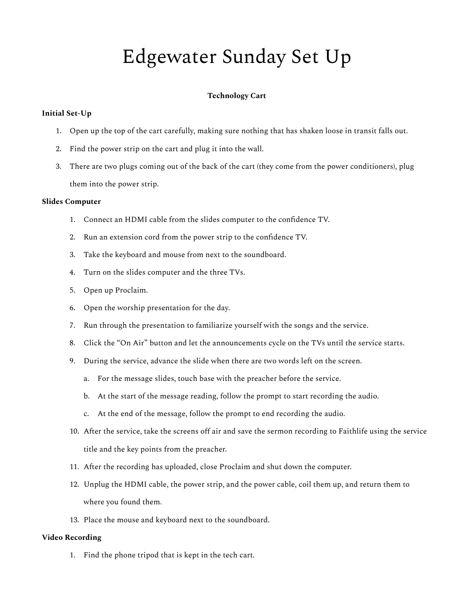# Edgewater Sunday Set Up

# **Technology Cart**

#### **Initial Set-Up**

- 1. Open up the top of the cart carefully, making sure nothing that has shaken loose in transit falls out.
- 2. Find the power strip on the cart and plug it into the wall.
- 3. There are two plugs coming out of the back of the cart (they come from the power conditioners), plug them into the power strip.

### **Slides Computer**

- 1. Connect an HDMI cable from the slides computer to the confidence TV.
- 2. Run an extension cord from the power strip to the confidence TV.
- 3. Take the keyboard and mouse from next to the soundboard.
- 4. Turn on the slides computer and the three TVs.
- 5. Open up Proclaim.
- 6. Open the worship presentation for the day.
- 7. Run through the presentation to familiarize yourself with the songs and the service.
- 8. Click the "On Air" button and let the announcements cycle on the TVs until the service starts.
- 9. During the service, advance the slide when there are two words left on the screen.
	- a. For the message slides, touch base with the preacher before the service.
	- b. At the start of the message reading, follow the prompt to start recording the audio.
	- c. At the end of the message, follow the prompt to end recording the audio.
- 10. After the service, take the screens off air and save the sermon recording to Faithlife using the service title and the key points from the preacher.
- 11. After the recording has uploaded, close Proclaim and shut down the computer.
- 12. Unplug the HDMI cable, the power strip, and the power cable, coil them up, and return them to where you found them.
- 13. Place the mouse and keyboard next to the soundboard.

# **Video Recording**

1. Find the phone tripod that is kept in the tech cart.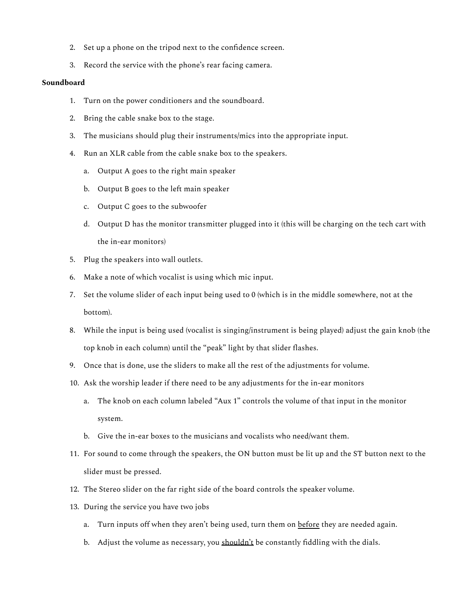- 2. Set up a phone on the tripod next to the confidence screen.
- 3. Record the service with the phone's rear facing camera.

#### **Soundboard**

- 1. Turn on the power conditioners and the soundboard.
- 2. Bring the cable snake box to the stage.
- 3. The musicians should plug their instruments/mics into the appropriate input.
- 4. Run an XLR cable from the cable snake box to the speakers.
	- a. Output A goes to the right main speaker
	- b. Output B goes to the left main speaker
	- c. Output C goes to the subwoofer
	- d. Output D has the monitor transmitter plugged into it (this will be charging on the tech cart with the in-ear monitors)
- 5. Plug the speakers into wall outlets.
- 6. Make a note of which vocalist is using which mic input.
- 7. Set the volume slider of each input being used to 0 (which is in the middle somewhere, not at the bottom).
- 8. While the input is being used (vocalist is singing/instrument is being played) adjust the gain knob (the top knob in each column) until the "peak" light by that slider flashes.
- 9. Once that is done, use the sliders to make all the rest of the adjustments for volume.
- 10. Ask the worship leader if there need to be any adjustments for the in-ear monitors
	- a. The knob on each column labeled "Aux 1" controls the volume of that input in the monitor system.
	- b. Give the in-ear boxes to the musicians and vocalists who need/want them.
- 11. For sound to come through the speakers, the ON button must be lit up and the ST button next to the slider must be pressed.
- 12. The Stereo slider on the far right side of the board controls the speaker volume.
- 13. During the service you have two jobs
	- a. Turn inputs off when they aren't being used, turn them on before they are needed again.
	- b. Adjust the volume as necessary, you shouldn't be constantly fiddling with the dials.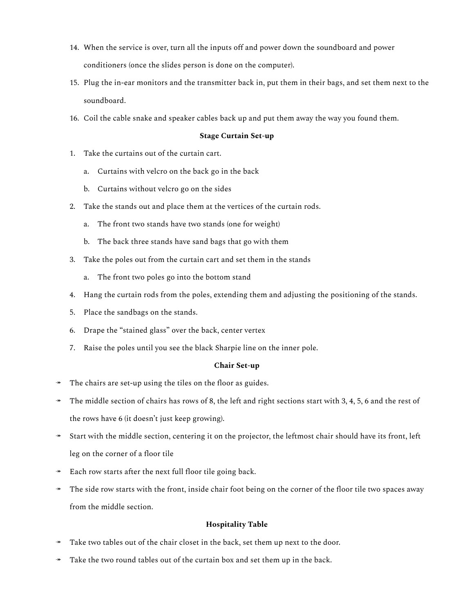- 14. When the service is over, turn all the inputs off and power down the soundboard and power conditioners (once the slides person is done on the computer).
- 15. Plug the in-ear monitors and the transmitter back in, put them in their bags, and set them next to the soundboard.
- 16. Coil the cable snake and speaker cables back up and put them away the way you found them.

### **Stage Curtain Set-up**

- 1. Take the curtains out of the curtain cart.
	- a. Curtains with velcro on the back go in the back
	- b. Curtains without velcro go on the sides
- 2. Take the stands out and place them at the vertices of the curtain rods.
	- a. The front two stands have two stands (one for weight)
	- b. The back three stands have sand bags that go with them
- 3. Take the poles out from the curtain cart and set them in the stands
	- a. The front two poles go into the bottom stand
- 4. Hang the curtain rods from the poles, extending them and adjusting the positioning of the stands.
- 5. Place the sandbags on the stands.
- 6. Drape the "stained glass" over the back, center vertex
- 7. Raise the poles until you see the black Sharpie line on the inner pole.

### **Chair Set-up**

- The chairs are set-up using the tiles on the floor as guides.
- $\rightarrow$  The middle section of chairs has rows of 8, the left and right sections start with 3, 4, 5, 6 and the rest of the rows have 6 (it doesn't just keep growing).
- Start with the middle section, centering it on the projector, the leftmost chair should have its front, left leg on the corner of a floor tile
- Each row starts after the next full floor tile going back.
- The side row starts with the front, inside chair foot being on the corner of the floor tile two spaces away from the middle section.

### **Hospitality Table**

- Take two tables out of the chair closet in the back, set them up next to the door.
- Take the two round tables out of the curtain box and set them up in the back.